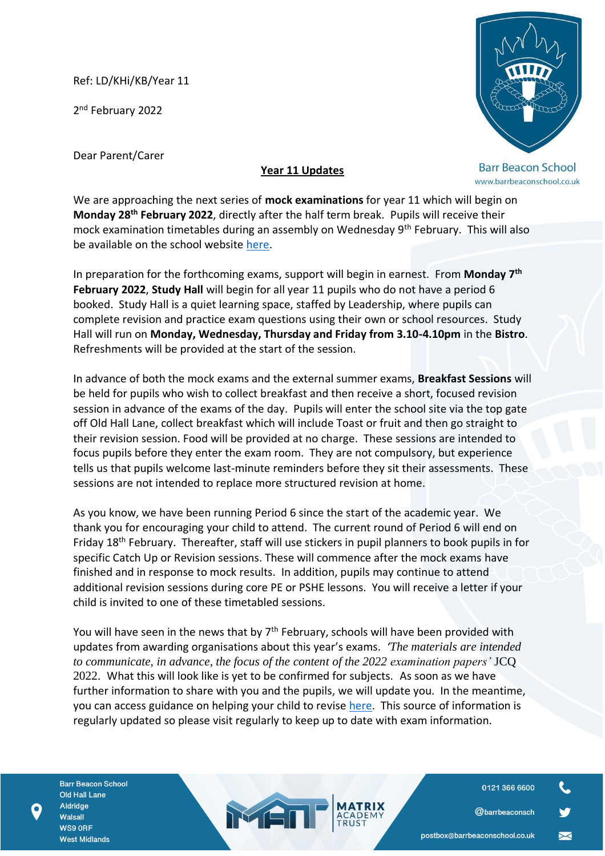Ref: LD/KHi/KB/Year 11

2<sup>nd</sup> February 2022

Dear Parent/Carer

**Barr Beacon School** www.barrbeaconschool.co.uk

## **Year 11 Updates**

We are approaching the next series of **mock examinations** for year 11 which will begin on **Monday 28th February 2022**, directly after the half term break. Pupils will receive their mock examination timetables during an assembly on Wednesday 9<sup>th</sup> February. This will also be available on the school website [here.](https://barrbeaconschool.co.uk/exams/)

In preparation for the forthcoming exams, support will begin in earnest. From **Monday 7th February 2022**, **Study Hall** will begin for all year 11 pupils who do not have a period 6 booked. Study Hall is a quiet learning space, staffed by Leadership, where pupils can complete revision and practice exam questions using their own or school resources. Study Hall will run on **Monday, Wednesday, Thursday and Friday from 3.10-4.10pm** in the **Bistro**. Refreshments will be provided at the start of the session.

In advance of both the mock exams and the external summer exams, **Breakfast Sessions** will be held for pupils who wish to collect breakfast and then receive a short, focused revision session in advance of the exams of the day. Pupils will enter the school site via the top gate off Old Hall Lane, collect breakfast which will include Toast or fruit and then go straight to their revision session. Food will be provided at no charge. These sessions are intended to focus pupils before they enter the exam room. They are not compulsory, but experience tells us that pupils welcome last-minute reminders before they sit their assessments. These sessions are not intended to replace more structured revision at home.

As you know, we have been running Period 6 since the start of the academic year. We thank you for encouraging your child to attend. The current round of Period 6 will end on Friday 18th February. Thereafter, staff will use stickers in pupil planners to book pupils in for specific Catch Up or Revision sessions. These will commence after the mock exams have finished and in response to mock results. In addition, pupils may continue to attend additional revision sessions during core PE or PSHE lessons. You will receive a letter if your child is invited to one of these timetabled sessions.

You will have seen in the news that by  $7<sup>th</sup>$  February, schools will have been provided with updates from awarding organisations about this year's exams. *'The materials are intended to communicate, in advance, the focus of the content of the 2022 examination papers'* JCQ 2022. What this will look like is yet to be confirmed for subjects. As soon as we have further information to share with you and the pupils, we will update you. In the meantime, you can access guidance on helping your child to revise [here.](https://barrbeaconschool.co.uk/wp-content/uploads/2020/02/Exams-Help-Document-Spreads.pdf) This source of information is regularly updated so please visit regularly to keep up to date with exam information.

MEN

**Barr Beacon School Old Hall Lane** Aldridge Walsall WS9 ORF **West Midlands** 

0121 366 6600

**@barrbeaconsch**